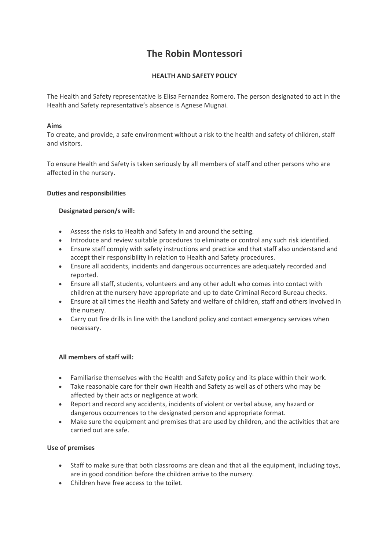# **The Robin Montessori**

# **HEALTH AND SAFETY POLICY**

The Health and Safety representative is Elisa Fernandez Romero. The person designated to act in the Health and Safety representative's absence is Agnese Mugnai.

# **Aims**

To create, and provide, a safe environment without a risk to the health and safety of children, staff and visitors.

To ensure Health and Safety is taken seriously by all members of staff and other persons who are affected in the nursery.

## **Duties and responsibilities**

## **Designated person/s will:**

- Assess the risks to Health and Safety in and around the setting.
- Introduce and review suitable procedures to eliminate or control any such risk identified.
- Ensure staff comply with safety instructions and practice and that staff also understand and accept their responsibility in relation to Health and Safety procedures.
- Ensure all accidents, incidents and dangerous occurrences are adequately recorded and reported.
- Ensure all staff, students, volunteers and any other adult who comes into contact with children at the nursery have appropriate and up to date Criminal Record Bureau checks.
- Ensure at all times the Health and Safety and welfare of children, staff and others involved in the nursery.
- Carry out fire drills in line with the Landlord policy and contact emergency services when necessary.

# **All members of staff will:**

- Familiarise themselves with the Health and Safety policy and its place within their work.
- Take reasonable care for their own Health and Safety as well as of others who may be affected by their acts or negligence at work.
- Report and record any accidents, incidents of violent or verbal abuse, any hazard or dangerous occurrences to the designated person and appropriate format.
- Make sure the equipment and premises that are used by children, and the activities that are carried out are safe.

## **Use of premises**

- Staff to make sure that both classrooms are clean and that all the equipment, including toys, are in good condition before the children arrive to the nursery.
- Children have free access to the toilet.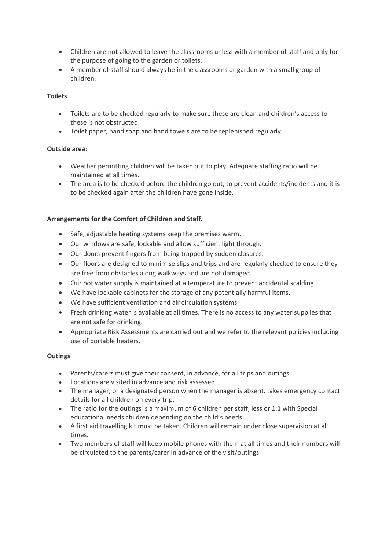- Children are not allowed to leave the classrooms unless with a member of staff and only for the purpose of going to the garden or toilets.
- A member of staff should always be in the classrooms or garden with a small group of children.

## **Toilets**

- Toilets are to be checked regularly to make sure these are clean and children's access to these is not obstructed.
- Toilet paper, hand soap and hand towels are to be replenished regularly.

# **Outside area:**

- Weather permitting children will be taken out to play. Adequate staffing ratio will be maintained at all times.
- The area is to be checked before the children go out, to prevent accidents/incidents and it is to be checked again after the children have gone inside.

# **Arrangements for the Comfort of Children and Staff.**

- Safe, adjustable heating systems keep the premises warm.
- Our windows are safe, lockable and allow sufficient light through.
- Our doors prevent fingers from being trapped by sudden closures.
- Our floors are designed to minimise slips and trips and are regularly checked to ensure they are free from obstacles along walkways and are not damaged.
- Our hot water supply is maintained at a temperature to prevent accidental scalding.
- We have lockable cabinets for the storage of any potentially harmful items.
- We have sufficient ventilation and air circulation systems.
- Fresh drinking water is available at all times. There is no access to any water supplies that are not safe for drinking.
- Appropriate Risk Assessments are carried out and we refer to the relevant policies including use of portable heaters.

#### **Outings**

- Parents/carers must give their consent, in advance, for all trips and outings.
- Locations are visited in advance and risk assessed.
- The manager, or a designated person when the manager is absent, takes emergency contact details for all children on every trip.
- The ratio for the outings is a maximum of 6 children per staff, less or 1:1 with Special educational needs children depending on the child's needs.
- A first aid travelling kit must be taken. Children will remain under close supervision at all times.
- Two members of staff will keep mobile phones with them at all times and their numbers will be circulated to the parents/carer in advance of the visit/outings.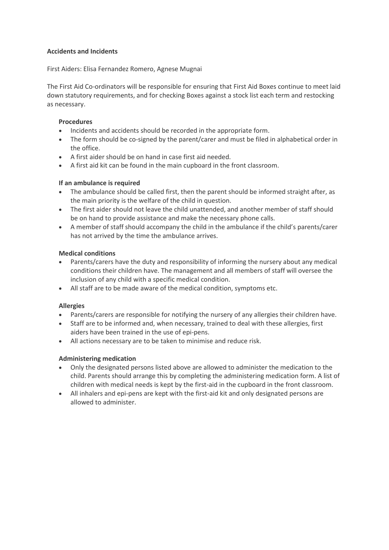## **Accidents and Incidents**

First Aiders: Elisa Fernandez Romero, Agnese Mugnai

The First Aid Co-ordinators will be responsible for ensuring that First Aid Boxes continue to meet laid down statutory requirements, and for checking Boxes against a stock list each term and restocking as necessary.

## **Procedures**

- Incidents and accidents should be recorded in the appropriate form.
- The form should be co-signed by the parent/carer and must be filed in alphabetical order in the office.
- A first aider should be on hand in case first aid needed.
- A first aid kit can be found in the main cupboard in the front classroom.

## **If an ambulance is required**

- The ambulance should be called first, then the parent should be informed straight after, as the main priority is the welfare of the child in question.
- The first aider should not leave the child unattended, and another member of staff should be on hand to provide assistance and make the necessary phone calls.
- A member of staff should accompany the child in the ambulance if the child's parents/carer has not arrived by the time the ambulance arrives.

## **Medical conditions**

- Parents/carers have the duty and responsibility of informing the nursery about any medical conditions their children have. The management and all members of staff will oversee the inclusion of any child with a specific medical condition.
- All staff are to be made aware of the medical condition, symptoms etc.

#### **Allergies**

- Parents/carers are responsible for notifying the nursery of any allergies their children have.
- Staff are to be informed and, when necessary, trained to deal with these allergies, first aiders have been trained in the use of epi-pens.
- All actions necessary are to be taken to minimise and reduce risk.

# **Administering medication**

- Only the designated persons listed above are allowed to administer the medication to the child. Parents should arrange this by completing the administering medication form. A list of children with medical needs is kept by the first-aid in the cupboard in the front classroom.
- All inhalers and epi-pens are kept with the first-aid kit and only designated persons are allowed to administer.